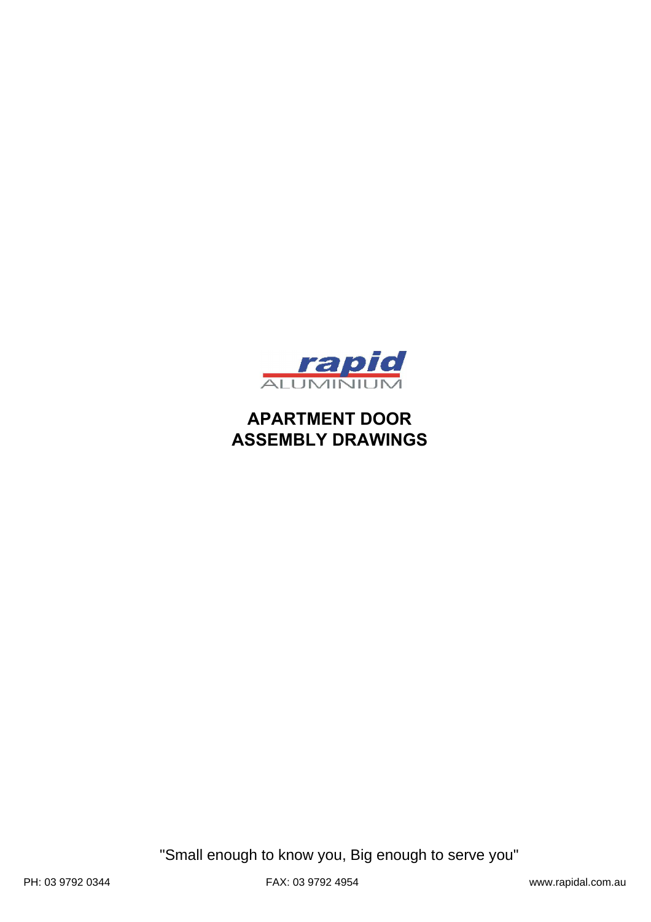

# **APARTMENT DOOR ASSEMBLY DRAWINGS**

"Small enough to know you, Big enough to serve you"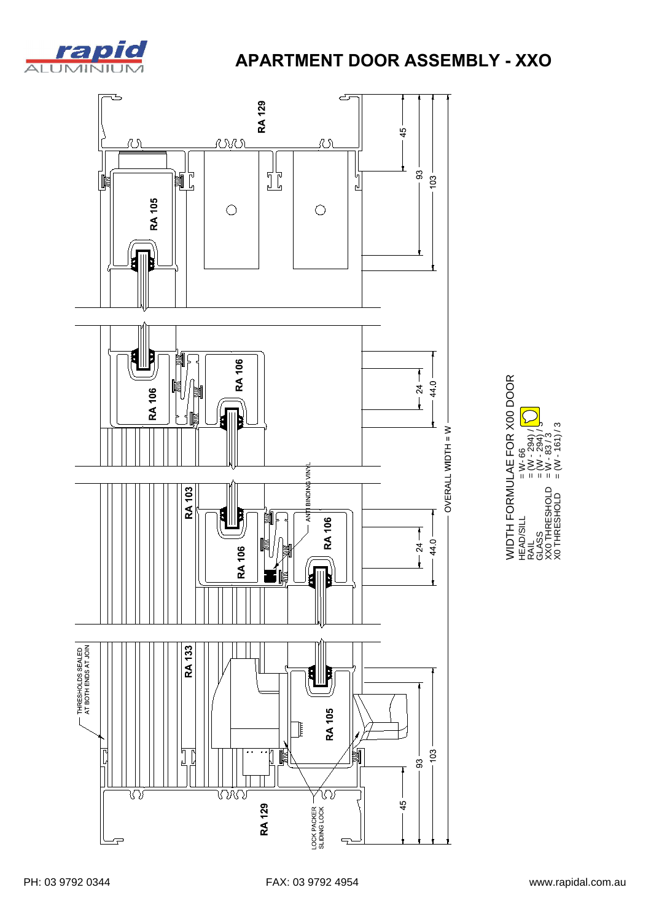

### **APARTMENT DOOR ASSEMBLY - XXO**

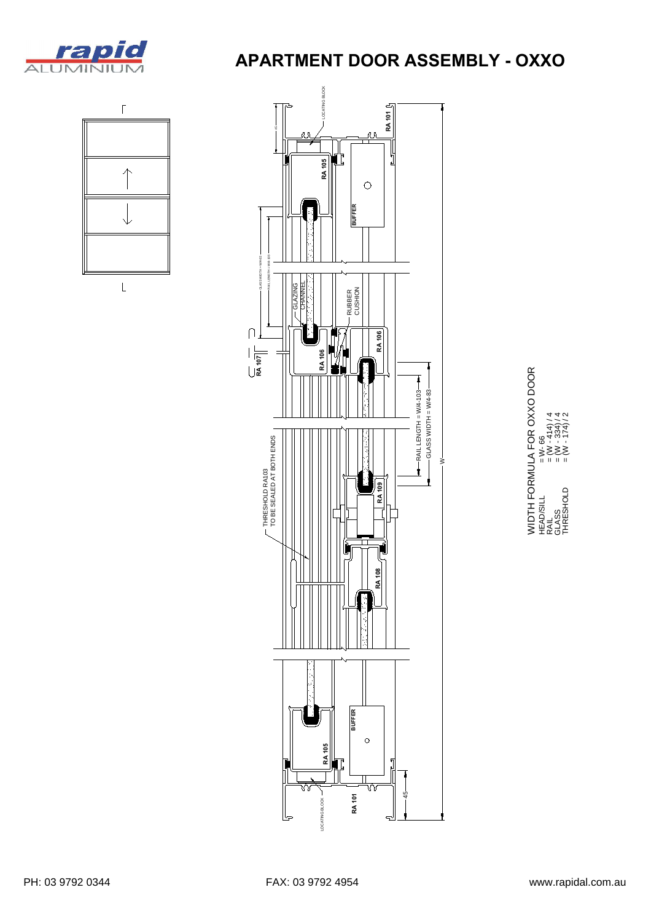

# **APARTMENT DOOR ASSEMBLY - OXXO**





WIDTH FORMULA FOR OXXO DOOR<br>HEAD/SILL = W- 66<br>RAIL = W- 414) / 4<br>RAIL = W- 414) / 4<br>HEASHOLD = (W- 174) / 2<br>THRESHOLD = (W- 174) / 2 = (W - 334) / 4 = (W - 174) / 2 GLASS THRESHOLD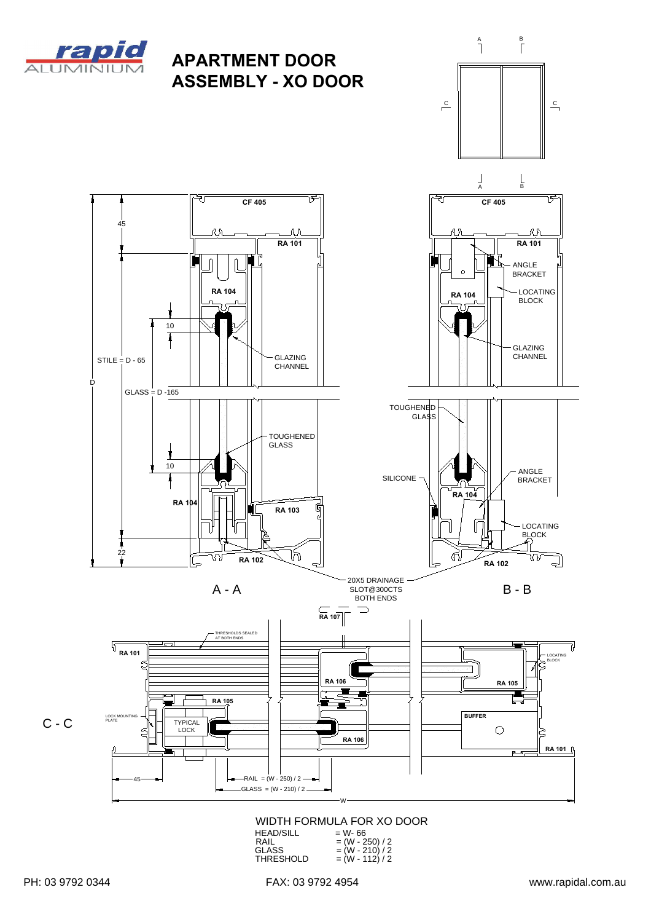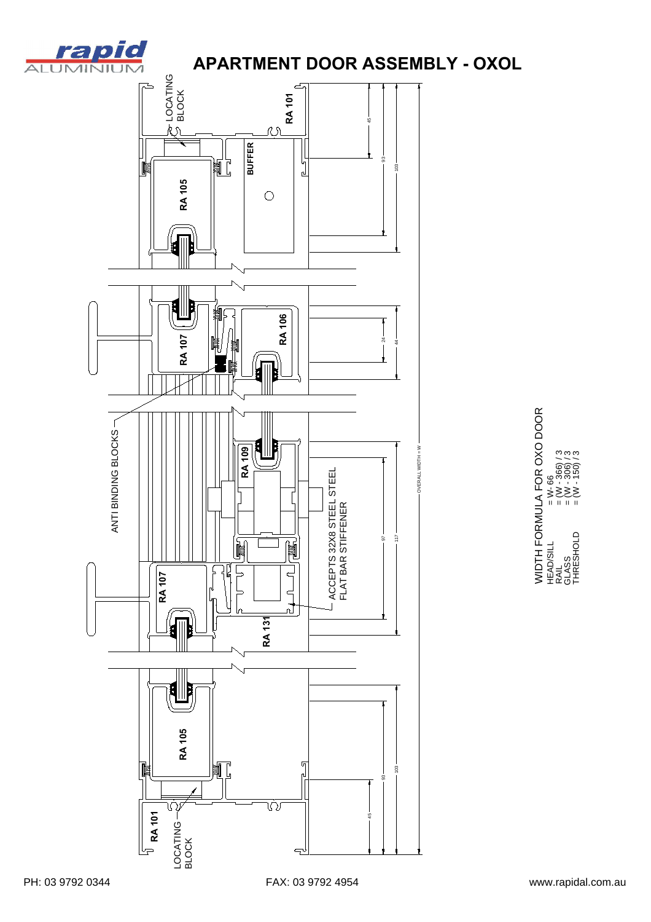

## **APARTMENT DOOR ASSEMBLY - OXOL**

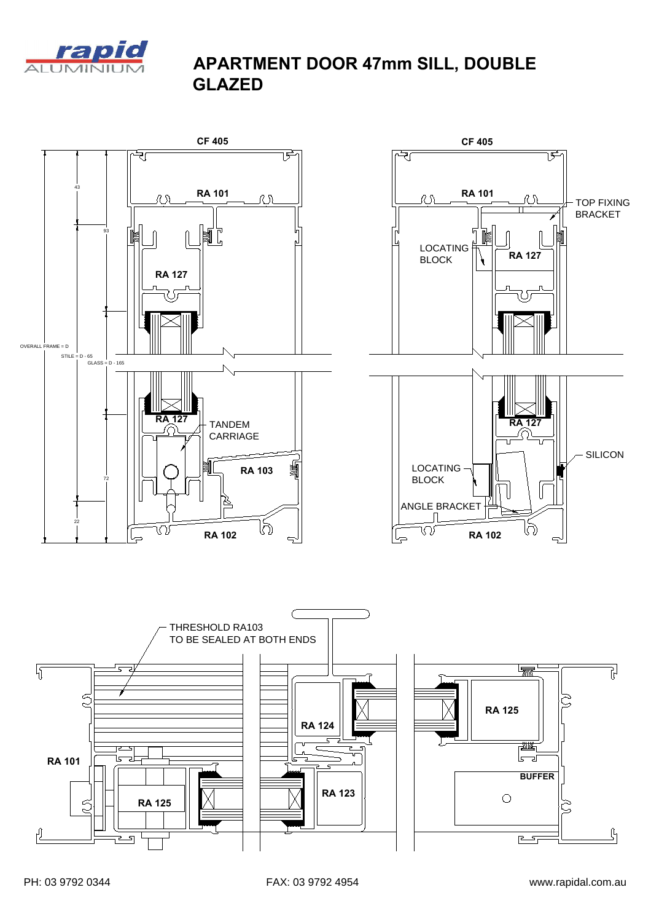

#### **APARTMENT DOOR 47mm SILL, DOUBLE GLAZED**

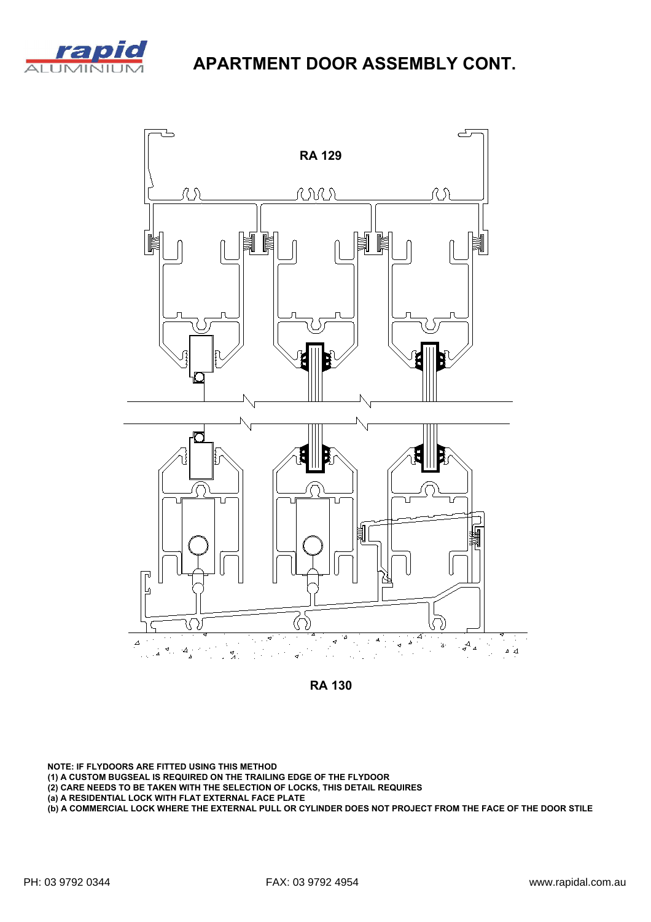

### **APARTMENT DOOR ASSEMBLY CONT.**



**RA 130**

**NOTE: IF FLYDOORS ARE FITTED USING THIS METHOD**

**(1) A CUSTOM BUGSEAL IS REQUIRED ON THE TRAILING EDGE OF THE FLYDOOR**

**(2) CARE NEEDS TO BE TAKEN WITH THE SELECTION OF LOCKS, THIS DETAIL REQUIRES**

**(a) A RESIDENTIAL LOCK WITH FLAT EXTERNAL FACE PLATE**

**(b) A COMMERCIAL LOCK WHERE THE EXTERNAL PULL OR CYLINDER DOES NOT PROJECT FROM THE FACE OF THE DOOR STILE**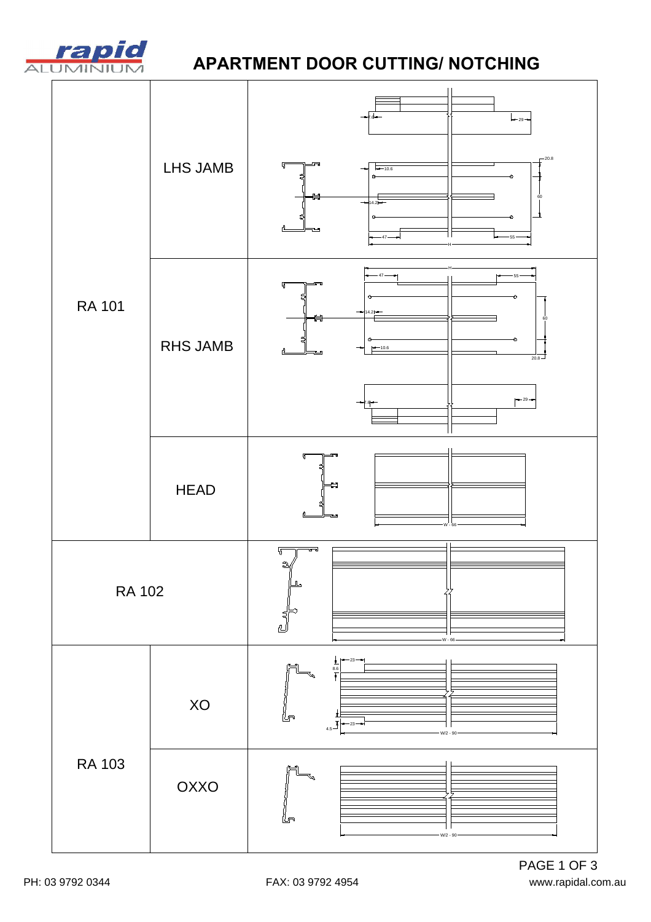

# **APARTMENT DOOR CUTTING/ NOTCHING**

|               | LHS JAMB    | $-29-$<br>$-20.8$<br>5<br>厅<br>$-10.6$<br>60<br>₩<br>┚<br>런<br>$-55$<br>47    |
|---------------|-------------|-------------------------------------------------------------------------------|
| <b>RA 101</b> | RHS JAMB    | 5<br>-57<br>₩<br>60<br>$\Theta$<br>$-10.6$<br>ᅐ<br>$\frac{1}{20.8}$<br>$-29-$ |
|               | <b>HEAD</b> | 厉<br>a<br>W-66                                                                |
| <b>RA 102</b> |             | छन्द<br>5<br>$\mathfrak{D}$<br>ட<br>ปี้<br>W - 66                             |
|               | XO          | 23<br>$\frac{1}{8.6}$<br>Ľr<br>23<br>$4.5 -$<br>W/2 - 90                      |
| <b>RA 103</b> | OXXO        | (Up<br>W/2 - 90                                                               |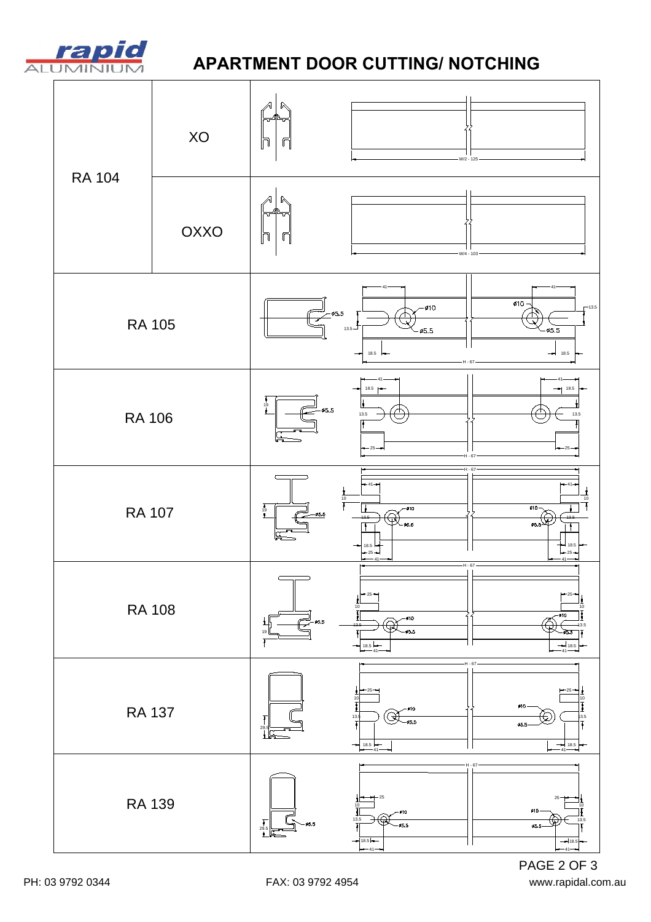

## **APARTMENT DOOR CUTTING/ NOTCHING**